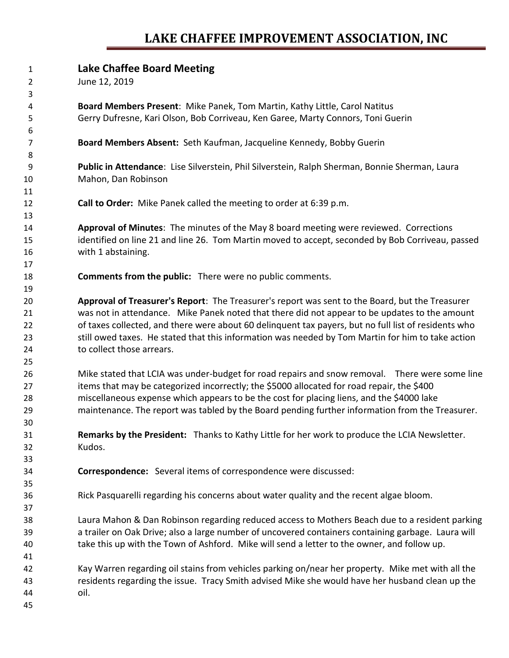### **LAKE CHAFFEE IMPROVEMENT ASSOCIATION, INC**

#### **Lake Chaffee Board Meeting**

June 12, 2019

 **Board Members Present**: Mike Panek, Tom Martin, Kathy Little, Carol Natitus Gerry Dufresne, Kari Olson, Bob Corriveau, Ken Garee, Marty Connors, Toni Guerin

**Board Members Absent:** Seth Kaufman, Jacqueline Kennedy, Bobby Guerin

 **Public in Attendance**: Lise Silverstein, Phil Silverstein, Ralph Sherman, Bonnie Sherman, Laura Mahon, Dan Robinson

**Call to Order:** Mike Panek called the meeting to order at 6:39 p.m.

 **Approval of Minutes**: The minutes of the May 8 board meeting were reviewed. Corrections identified on line 21 and line 26. Tom Martin moved to accept, seconded by Bob Corriveau, passed with 1 abstaining.

**Comments from the public:** There were no public comments.

 **Approval of Treasurer's Report**: The Treasurer's report was sent to the Board, but the Treasurer was not in attendance. Mike Panek noted that there did not appear to be updates to the amount of taxes collected, and there were about 60 delinquent tax payers, but no full list of residents who still owed taxes. He stated that this information was needed by Tom Martin for him to take action to collect those arrears.

 Mike stated that LCIA was under-budget for road repairs and snow removal. There were some line items that may be categorized incorrectly; the \$5000 allocated for road repair, the \$400 miscellaneous expense which appears to be the cost for placing liens, and the \$4000 lake maintenance. The report was tabled by the Board pending further information from the Treasurer.

 **Remarks by the President:** Thanks to Kathy Little for her work to produce the LCIA Newsletter. Kudos.

**Correspondence:** Several items of correspondence were discussed:

Rick Pasquarelli regarding his concerns about water quality and the recent algae bloom.

 Laura Mahon & Dan Robinson regarding reduced access to Mothers Beach due to a resident parking a trailer on Oak Drive; also a large number of uncovered containers containing garbage. Laura will take this up with the Town of Ashford. Mike will send a letter to the owner, and follow up.

 Kay Warren regarding oil stains from vehicles parking on/near her property. Mike met with all the residents regarding the issue. Tracy Smith advised Mike she would have her husband clean up the oil.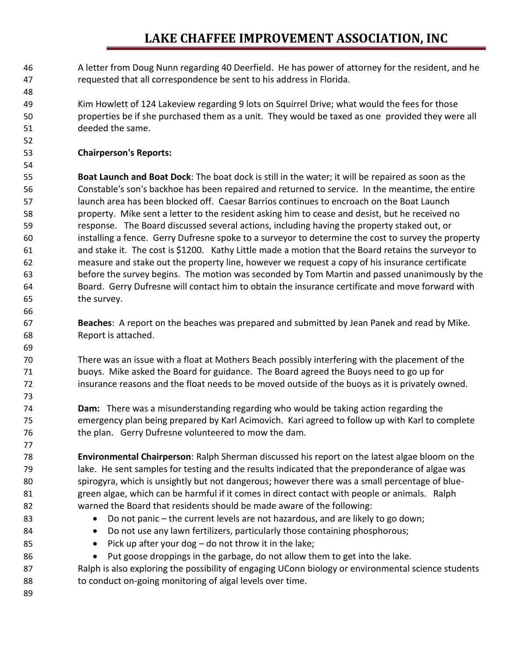## **LAKE CHAFFEE IMPROVEMENT ASSOCIATION, INC**

 A letter from Doug Nunn regarding 40 Deerfield. He has power of attorney for the resident, and he requested that all correspondence be sent to his address in Florida.

 Kim Howlett of 124 Lakeview regarding 9 lots on Squirrel Drive; what would the fees for those properties be if she purchased them as a unit. They would be taxed as one provided they were all deeded the same.

#### **Chairperson's Reports:**

 **Boat Launch and Boat Dock**: The boat dock is still in the water; it will be repaired as soon as the Constable's son's backhoe has been repaired and returned to service. In the meantime, the entire launch area has been blocked off. Caesar Barrios continues to encroach on the Boat Launch property. Mike sent a letter to the resident asking him to cease and desist, but he received no response. The Board discussed several actions, including having the property staked out, or installing a fence. Gerry Dufresne spoke to a surveyor to determine the cost to survey the property and stake it. The cost is \$1200. Kathy Little made a motion that the Board retains the surveyor to measure and stake out the property line, however we request a copy of his insurance certificate before the survey begins. The motion was seconded by Tom Martin and passed unanimously by the Board. Gerry Dufresne will contact him to obtain the insurance certificate and move forward with the survey.

 **Beaches**: A report on the beaches was prepared and submitted by Jean Panek and read by Mike. Report is attached.

 There was an issue with a float at Mothers Beach possibly interfering with the placement of the buoys. Mike asked the Board for guidance. The Board agreed the Buoys need to go up for insurance reasons and the float needs to be moved outside of the buoys as it is privately owned.

 **Dam:** There was a misunderstanding regarding who would be taking action regarding the emergency plan being prepared by Karl Acimovich. Kari agreed to follow up with Karl to complete the plan. Gerry Dufresne volunteered to mow the dam.

 **Environmental Chairperson**: Ralph Sherman discussed his report on the latest algae bloom on the lake. He sent samples for testing and the results indicated that the preponderance of algae was spirogyra, which is unsightly but not dangerous; however there was a small percentage of blue- green algae, which can be harmful if it comes in direct contact with people or animals. Ralph warned the Board that residents should be made aware of the following:

- Do not panic the current levels are not hazardous, and are likely to go down;
- 84 Do not use any lawn fertilizers, particularly those containing phosphorous;
- 85 Pick up after your dog do not throw it in the lake;
- Put goose droppings in the garbage, do not allow them to get into the lake.

 Ralph is also exploring the possibility of engaging UConn biology or environmental science students 88 to conduct on-going monitoring of algal levels over time.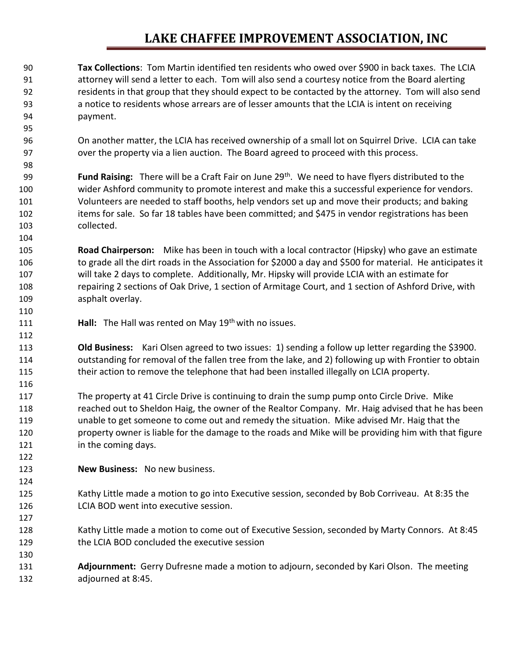## **LAKE CHAFFEE IMPROVEMENT ASSOCIATION, INC**

 **Tax Collections**: Tom Martin identified ten residents who owed over \$900 in back taxes. The LCIA attorney will send a letter to each. Tom will also send a courtesy notice from the Board alerting residents in that group that they should expect to be contacted by the attorney. Tom will also send a notice to residents whose arrears are of lesser amounts that the LCIA is intent on receiving payment.

 On another matter, the LCIA has received ownership of a small lot on Squirrel Drive. LCIA can take over the property via a lien auction. The Board agreed to proceed with this process.

**Fund Raising:** There will be a Craft Fair on June 29<sup>th</sup>. We need to have flyers distributed to the wider Ashford community to promote interest and make this a successful experience for vendors. Volunteers are needed to staff booths, help vendors set up and move their products; and baking 102 items for sale. So far 18 tables have been committed; and \$475 in vendor registrations has been collected.

 **Road Chairperson:** Mike has been in touch with a local contractor (Hipsky) who gave an estimate to grade all the dirt roads in the Association for \$2000 a day and \$500 for material. He anticipates it will take 2 days to complete. Additionally, Mr. Hipsky will provide LCIA with an estimate for repairing 2 sections of Oak Drive, 1 section of Armitage Court, and 1 section of Ashford Drive, with asphalt overlay.

111 **Hall:** The Hall was rented on May 19<sup>th</sup> with no issues.

 **Old Business:** Kari Olsen agreed to two issues: 1) sending a follow up letter regarding the \$3900. outstanding for removal of the fallen tree from the lake, and 2) following up with Frontier to obtain 115 their action to remove the telephone that had been installed illegally on LCIA property.

 The property at 41 Circle Drive is continuing to drain the sump pump onto Circle Drive. Mike 118 reached out to Sheldon Haig, the owner of the Realtor Company. Mr. Haig advised that he has been unable to get someone to come out and remedy the situation. Mike advised Mr. Haig that the property owner is liable for the damage to the roads and Mike will be providing him with that figure **in the coming days.** 

**New Business:** No new business.

- Kathy Little made a motion to go into Executive session, seconded by Bob Corriveau. At 8:35 the LCIA BOD went into executive session.
- Kathy Little made a motion to come out of Executive Session, seconded by Marty Connors. At 8:45 the LCIA BOD concluded the executive session
- **Adjournment:** Gerry Dufresne made a motion to adjourn, seconded by Kari Olson. The meeting adjourned at 8:45.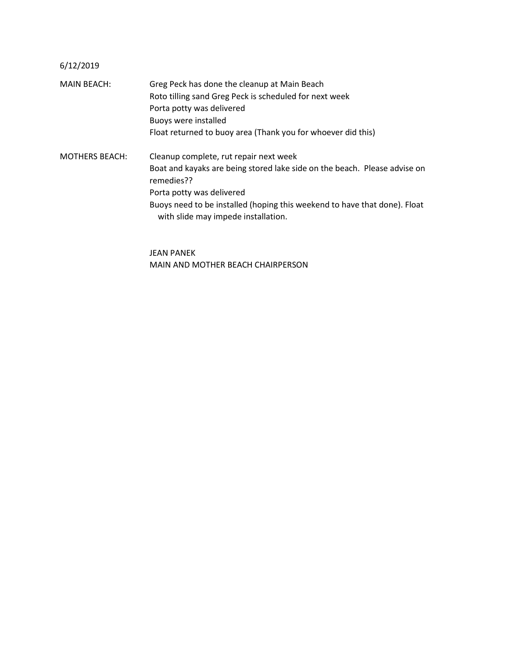#### 6/12/2019

MAIN BEACH: Greg Peck has done the cleanup at Main Beach Roto tilling sand Greg Peck is scheduled for next week Porta potty was delivered Buoys were installed Float returned to buoy area (Thank you for whoever did this) MOTHERS BEACH: Cleanup complete, rut repair next week Boat and kayaks are being stored lake side on the beach. Please advise on remedies?? Porta potty was delivered Buoys need to be installed (hoping this weekend to have that done). Float with slide may impede installation.

> JEAN PANEK MAIN AND MOTHER BEACH CHAIRPERSON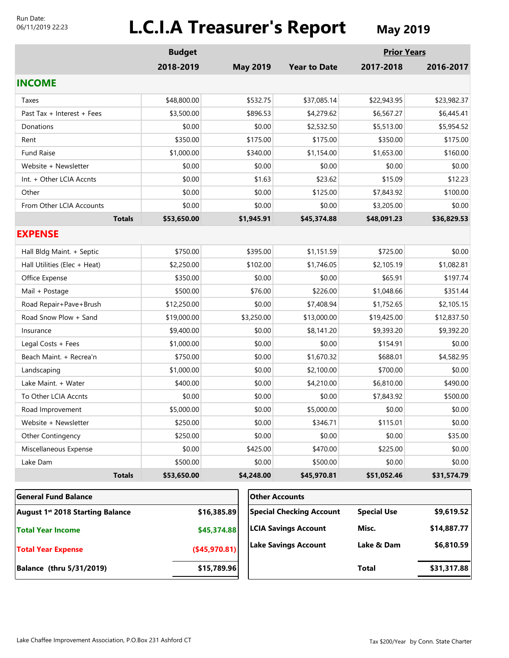#### Run Date: 06/11/2019 22:23

# **L.C.I.A Treasurer's Report** May 2019

|                                  | <b>Budget</b> |                 |                                 | <b>Prior Years</b> |             |
|----------------------------------|---------------|-----------------|---------------------------------|--------------------|-------------|
|                                  | 2018-2019     | <b>May 2019</b> | <b>Year to Date</b>             | 2017-2018          | 2016-2017   |
| <b>INCOME</b>                    |               |                 |                                 |                    |             |
| Taxes                            | \$48,800.00   | \$532.75        | \$37,085.14                     | \$22,943.95        | \$23,982.37 |
| Past Tax + Interest + Fees       | \$3,500.00    | \$896.53        | \$4,279.62                      | \$6,567.27         | \$6,445.41  |
| Donations                        | \$0.00        | \$0.00          | \$2,532.50                      | \$5,513.00         | \$5,954.52  |
| Rent                             | \$350.00      | \$175.00        | \$175.00                        | \$350.00           | \$175.00    |
| <b>Fund Raise</b>                | \$1,000.00    | \$340.00        | \$1,154.00                      | \$1,653.00         | \$160.00    |
| Website + Newsletter             | \$0.00        | \$0.00          | \$0.00                          | \$0.00             | \$0.00      |
| Int. + Other LCIA Accnts         | \$0.00        | \$1.63          | \$23.62                         | \$15.09            | \$12.23     |
| Other                            | \$0.00        | \$0.00          | \$125.00                        | \$7,843.92         | \$100.00    |
| From Other LCIA Accounts         | \$0.00        | \$0.00          | \$0.00                          | \$3,205.00         | \$0.00      |
| <b>Totals</b>                    | \$53,650.00   | \$1,945.91      | \$45,374.88                     | \$48,091.23        | \$36,829.53 |
| <b>EXPENSE</b>                   |               |                 |                                 |                    |             |
| Hall Bldg Maint. + Septic        | \$750.00      | \$395.00        | \$1,151.59                      | \$725.00           | \$0.00      |
| Hall Utilities (Elec + Heat)     | \$2,250.00    | \$102.00        | \$1,746.05                      | \$2,105.19         | \$1,082.81  |
| Office Expense                   | \$350.00      | \$0.00          | \$0.00                          | \$65.91            | \$197.74    |
| Mail + Postage                   | \$500.00      | \$76.00         | \$226.00                        | \$1,048.66         | \$351.44    |
| Road Repair+Pave+Brush           | \$12,250.00   | \$0.00          | \$7,408.94                      | \$1,752.65         | \$2,105.15  |
| Road Snow Plow + Sand            | \$19,000.00   | \$3,250.00      | \$13,000.00                     | \$19,425.00        | \$12,837.50 |
| Insurance                        | \$9,400.00    | \$0.00          | \$8,141.20                      | \$9,393.20         | \$9,392.20  |
| Legal Costs + Fees               | \$1,000.00    | \$0.00          | \$0.00                          | \$154.91           | \$0.00      |
| Beach Maint. + Recrea'n          | \$750.00      | \$0.00          | \$1,670.32                      | \$688.01           | \$4,582.95  |
| Landscaping                      | \$1,000.00    | \$0.00          | \$2,100.00                      | \$700.00           | \$0.00      |
| Lake Maint. + Water              | \$400.00      | \$0.00          | \$4,210.00                      | \$6,810.00         | \$490.00    |
| To Other LCIA Accnts             | \$0.00        | \$0.00          | \$0.00                          | \$7,843.92         | \$500.00    |
| Road Improvement                 | \$5,000.00    | \$0.00          | \$5,000.00                      | \$0.00             | \$0.00      |
| Website + Newsletter             | \$250.00      | \$0.00          | \$346.71                        | \$115.01           | \$0.00      |
| Other Contingency                | \$250.00      | \$0.00          | \$0.00                          | \$0.00             | \$35.00     |
| Miscellaneous Expense            | \$0.00        | \$425.00        | \$470.00                        | \$225.00           | \$0.00      |
| Lake Dam                         | \$500.00      | \$0.00          | \$500.00                        | \$0.00             | \$0.00      |
| <b>Totals</b>                    | \$53,650.00   | \$4,248.00      | \$45,970.81                     | \$51,052.46        | \$31,574.79 |
| <b>General Fund Balance</b>      |               |                 | <b>Other Accounts</b>           |                    |             |
| August 1st 2018 Starting Balance |               | \$16,385.89     | <b>Special Checking Account</b> | <b>Special Use</b> | \$9,619.52  |
| <b>Total Year Income</b>         |               | \$45,374.88     | <b>LCIA Savings Account</b>     | Misc.              | \$14,887.77 |

**(\$45,970.81)**

**Lake Savings Account**

**Balance (thru 5/31/2019) \$15,789.96**

**Total Year Expense**

**Total \$31,317.88**

**\$6,810.59**

**Lake & Dam**